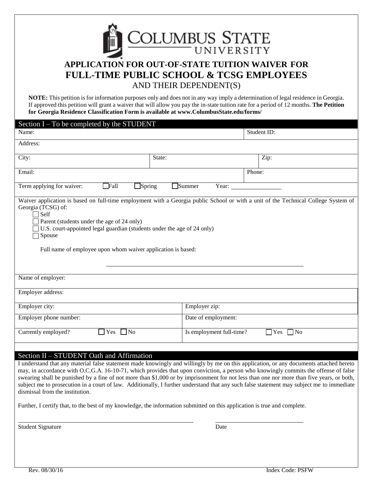

# **APPLICATION FOR OUT-OF-STATE TUITION WAIVER FOR FULL-TIME PUBLIC SCHOOL & TCSG EMPLOYEES** AND THEIR DEPENDENT(S)

**NOTE:** This petition is for information purposes only and does not in any way imply a determination of legal residence in Georgia. If approved this petition will grant a waiver that will allow you pay the in-state tuition rate for a period of 12 months. **The Petition for Georgia Residence Classification Form is available at www.ColumbusState.edu/forms/**

| Section $I - To$ be completed by the STUDENT                                                                                                                                                                                                                                                                                                                                                                                |                          |             |
|-----------------------------------------------------------------------------------------------------------------------------------------------------------------------------------------------------------------------------------------------------------------------------------------------------------------------------------------------------------------------------------------------------------------------------|--------------------------|-------------|
| Name:                                                                                                                                                                                                                                                                                                                                                                                                                       |                          | Student ID: |
| Address:                                                                                                                                                                                                                                                                                                                                                                                                                    |                          |             |
| City:                                                                                                                                                                                                                                                                                                                                                                                                                       | State:                   | Zip:        |
| Email:                                                                                                                                                                                                                                                                                                                                                                                                                      |                          | Phone:      |
| Fall<br>$\exists$ Spring<br>Term applying for waiver:                                                                                                                                                                                                                                                                                                                                                                       | $\Box$ Summer<br>Year:   |             |
| Waiver application is based on full-time employment with a Georgia public School or with a unit of the Technical College System of<br>Georgia (TCSG) of:<br>$\bigcap$ Self<br>Parent (students under the age of 24 only)<br>$\exists$ U.S. court-appointed legal guardian (students under the age of 24 only)<br>$\Box$ Spouse<br>Full name of employee upon whom waiver application is based:                              |                          |             |
| Name of employer:                                                                                                                                                                                                                                                                                                                                                                                                           |                          |             |
| Employer address:                                                                                                                                                                                                                                                                                                                                                                                                           |                          |             |
| Employer city:                                                                                                                                                                                                                                                                                                                                                                                                              | Employer zip:            |             |
| Employer phone number:                                                                                                                                                                                                                                                                                                                                                                                                      | Date of employment:      |             |
| $\neg$ No<br>Currently employed?<br>Yes                                                                                                                                                                                                                                                                                                                                                                                     | Is employment full-time? | 7 No<br>Yes |
| Section II - STUDENT Oath and Affirmation                                                                                                                                                                                                                                                                                                                                                                                   |                          |             |
| I understand that any material false statement made knowingly and willingly by me on this application, or any documents attached hereto<br>may, in accordance with O.C.G.A. 16-10-71, which provides that upon conviction, a person who knowingly commits the offense of false<br>swearing shall be punished by a fine of not more than \$1,000 or by imprisonment for not less than one nor more than five years, or both, |                          |             |

subject me to prosecution in a court of law. Additionally, I further understand that any such false statement may subject me to immediate

Further, I certify that, to the best of my knowledge, the information submitted on this application is true and complete.

Student Signature Date

dismissal from the institution.